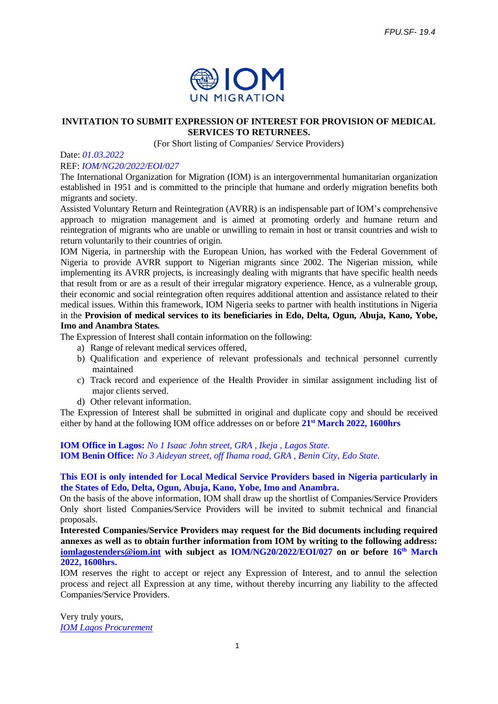

## **INVITATION TO SUBMIT EXPRESSION OF INTEREST FOR PROVISION OF MEDICAL SERVICES TO RETURNEES.**

(For Short listing of Companies/ Service Providers)

#### Date: *01.03.2022*

### REF: *IOM/NG20/2022/EOI/027*

The International Organization for Migration (IOM) is an intergovernmental humanitarian organization established in 1951 and is committed to the principle that humane and orderly migration benefits both migrants and society.

Assisted Voluntary Return and Reintegration (AVRR) is an indispensable part of IOM's comprehensive approach to migration management and is aimed at promoting orderly and humane return and reintegration of migrants who are unable or unwilling to remain in host or transit countries and wish to return voluntarily to their countries of origin.

IOM Nigeria, in partnership with the European Union, has worked with the Federal Government of Nigeria to provide AVRR support to Nigerian migrants since 2002. The Nigerian mission, while implementing its AVRR projects, is increasingly dealing with migrants that have specific health needs that result from or are as a result of their irregular migratory experience. Hence, as a vulnerable group, their economic and social reintegration often requires additional attention and assistance related to their medical issues. Within this framework, IOM Nigeria seeks to partner with health institutions in Nigeria in the **Provision of medical services to its beneficiaries in Edo, Delta, Ogun, Abuja, Kano, Yobe, Imo and Anambra States***.*

The Expression of Interest shall contain information on the following:

- a) Range of relevant medical services offered,
- b) Qualification and experience of relevant professionals and technical personnel currently maintained
- c) Track record and experience of the Health Provider in similar assignment including list of major clients served.
- d) Other relevant information.

The Expression of Interest shall be submitted in original and duplicate copy and should be received either by hand at the following IOM office addresses on or before **21st March 2022, 1600hrs**

**IOM Office in Lagos:** *No 1 Isaac John street, GRA , Ikeja , Lagos State.*  **IOM Benin Office:** *No 3 Aideyan street, off Ihama road, GRA , Benin City, Edo State.* 

## **This EOI is only intended for Local Medical Service Providers based in Nigeria particularly in the States of Edo, Delta, Ogun, Abuja, Kano, Yobe, Imo and Anambra.**

On the basis of the above information, IOM shall draw up the shortlist of Companies/Service Providers Only short listed Companies/Service Providers will be invited to submit technical and financial proposals.

**Interested Companies/Service Providers may request for the Bid documents including required annexes as well as to obtain further information from IOM by writing to the following address: [iomlagostenders@iom.int](mailto:iomlagostenders@iom.int) with subject as IOM/NG20/2022/EOI/027 on or before 16th March 2022, 1600hrs.**

IOM reserves the right to accept or reject any Expression of Interest, and to annul the selection process and reject all Expression at any time, without thereby incurring any liability to the affected Companies/Service Providers.

Very truly yours, *IOM Lagos Procurement*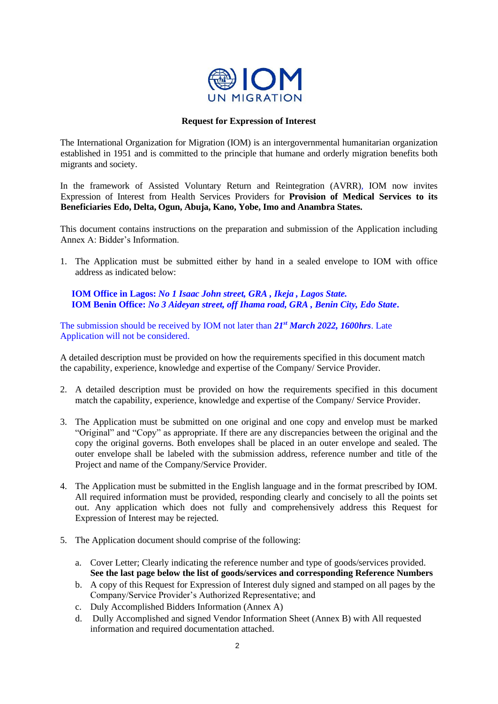

## **Request for Expression of Interest**

The International Organization for Migration (IOM) is an intergovernmental humanitarian organization established in 1951 and is committed to the principle that humane and orderly migration benefits both migrants and society.

In the framework of Assisted Voluntary Return and Reintegration (AVRR)*,* IOM now invites Expression of Interest from Health Services Providers for **Provision of Medical Services to its Beneficiaries Edo, Delta, Ogun, Abuja, Kano, Yobe, Imo and Anambra States.**

This document contains instructions on the preparation and submission of the Application including Annex A: Bidder's Information.

1. The Application must be submitted either by hand in a sealed envelope to IOM with office address as indicated below:

 **IOM Office in Lagos:** *No 1 Isaac John street, GRA , Ikeja , Lagos State.*   **IOM Benin Office:** *No 3 Aideyan street, off Ihama road, GRA , Benin City, Edo State***.** 

The submission should be received by IOM not later than *21st March 2022, 1600hrs*. Late Application will not be considered.

A detailed description must be provided on how the requirements specified in this document match the capability, experience, knowledge and expertise of the Company/ Service Provider.

- 2. A detailed description must be provided on how the requirements specified in this document match the capability, experience, knowledge and expertise of the Company/ Service Provider.
- 3. The Application must be submitted on one original and one copy and envelop must be marked "Original" and "Copy" as appropriate. If there are any discrepancies between the original and the copy the original governs. Both envelopes shall be placed in an outer envelope and sealed. The outer envelope shall be labeled with the submission address, reference number and title of the Project and name of the Company/Service Provider.
- 4. The Application must be submitted in the English language and in the format prescribed by IOM. All required information must be provided, responding clearly and concisely to all the points set out. Any application which does not fully and comprehensively address this Request for Expression of Interest may be rejected.
- 5. The Application document should comprise of the following:
	- a. Cover Letter; Clearly indicating the reference number and type of goods/services provided. **See the last page below the list of goods/services and corresponding Reference Numbers**
	- b. A copy of this Request for Expression of Interest duly signed and stamped on all pages by the Company/Service Provider's Authorized Representative; and
	- c. Duly Accomplished Bidders Information (Annex A)
	- d. Dully Accomplished and signed Vendor Information Sheet (Annex B) with All requested information and required documentation attached.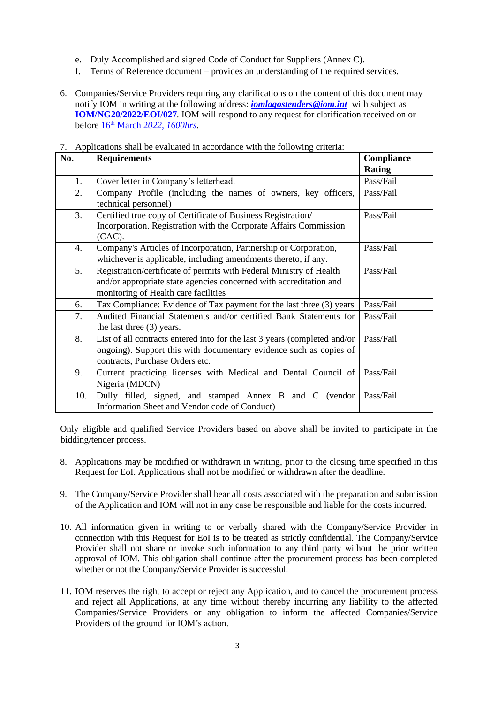- e. Duly Accomplished and signed Code of Conduct for Suppliers (Annex C).
- f. Terms of Reference document provides an understanding of the required services.
- 6. Companies/Service Providers requiring any clarifications on the content of this document may notify IOM in writing at the following address: *[iomlagostenders@iom.int](mailto:iomlagostenders@iom.int)* with subject as **IOM/NG20/2022/EOI/027***.* IOM will respond to any request for clarification received on or before 16th March 2*022, 1600hrs*.

| No. | <b>Requirements</b>                                                                                                                                                                | Compliance    |
|-----|------------------------------------------------------------------------------------------------------------------------------------------------------------------------------------|---------------|
|     |                                                                                                                                                                                    | <b>Rating</b> |
| 1.  | Cover letter in Company's letterhead.                                                                                                                                              | Pass/Fail     |
| 2.  | Company Profile (including the names of owners, key officers,<br>technical personnel)                                                                                              | Pass/Fail     |
| 3.  | Certified true copy of Certificate of Business Registration/<br>Incorporation. Registration with the Corporate Affairs Commission<br>$(CAC)$ .                                     | Pass/Fail     |
| 4.  | Company's Articles of Incorporation, Partnership or Corporation,<br>whichever is applicable, including amendments thereto, if any.                                                 | Pass/Fail     |
| 5.  | Registration/certificate of permits with Federal Ministry of Health<br>and/or appropriate state agencies concerned with accreditation and<br>monitoring of Health care facilities  | Pass/Fail     |
| 6.  | Tax Compliance: Evidence of Tax payment for the last three (3) years                                                                                                               | Pass/Fail     |
| 7.  | Audited Financial Statements and/or certified Bank Statements for<br>the last three (3) years.                                                                                     | Pass/Fail     |
| 8.  | List of all contracts entered into for the last 3 years (completed and/or<br>ongoing). Support this with documentary evidence such as copies of<br>contracts, Purchase Orders etc. | Pass/Fail     |
| 9.  | Current practicing licenses with Medical and Dental Council of<br>Nigeria (MDCN)                                                                                                   | Pass/Fail     |
| 10. | Dully filled, signed, and stamped Annex B and C (vendor<br>Information Sheet and Vendor code of Conduct)                                                                           | Pass/Fail     |

7. Applications shall be evaluated in accordance with the following criteria:

Only eligible and qualified Service Providers based on above shall be invited to participate in the bidding/tender process.

- 8. Applications may be modified or withdrawn in writing, prior to the closing time specified in this Request for EoI. Applications shall not be modified or withdrawn after the deadline.
- 9. The Company/Service Provider shall bear all costs associated with the preparation and submission of the Application and IOM will not in any case be responsible and liable for the costs incurred.
- 10. All information given in writing to or verbally shared with the Company/Service Provider in connection with this Request for EoI is to be treated as strictly confidential. The Company/Service Provider shall not share or invoke such information to any third party without the prior written approval of IOM. This obligation shall continue after the procurement process has been completed whether or not the Company/Service Provider is successful.
- 11. IOM reserves the right to accept or reject any Application, and to cancel the procurement process and reject all Applications, at any time without thereby incurring any liability to the affected Companies/Service Providers or any obligation to inform the affected Companies/Service Providers of the ground for IOM's action.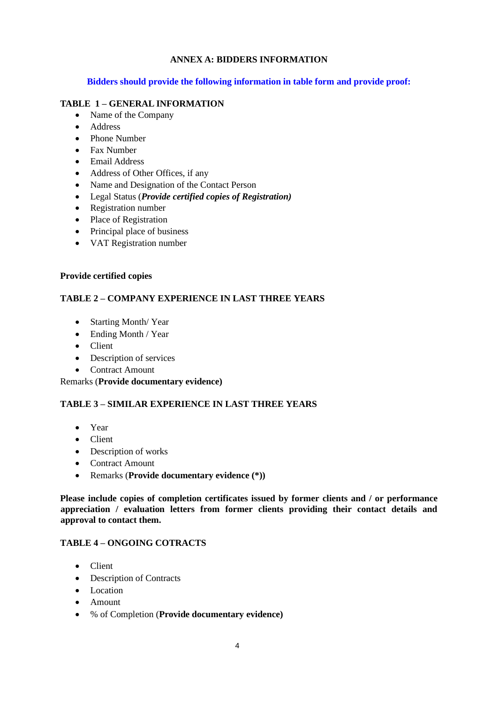# **ANNEX A: BIDDERS INFORMATION**

## **Bidders should provide the following information in table form and provide proof:**

## **TABLE 1 – GENERAL INFORMATION**

- Name of the Company
- Address
- Phone Number
- Fax Number
- Email Address
- Address of Other Offices, if any
- Name and Designation of the Contact Person
- Legal Status (*Provide certified copies of Registration)*
- Registration number
- Place of Registration
- Principal place of business
- VAT Registration number

### **Provide certified copies**

## **TABLE 2 – COMPANY EXPERIENCE IN LAST THREE YEARS**

- Starting Month/Year
- Ending Month / Year
- Client
- Description of services
- Contract Amount

Remarks (**Provide documentary evidence)**

## **TABLE 3 – SIMILAR EXPERIENCE IN LAST THREE YEARS**

- Year
- Client
- Description of works
- Contract Amount
- Remarks (**Provide documentary evidence (\*))**

**Please include copies of completion certificates issued by former clients and / or performance appreciation / evaluation letters from former clients providing their contact details and approval to contact them.**

## **TABLE 4 – ONGOING COTRACTS**

- Client
- Description of Contracts
- Location
- Amount
- % of Completion (**Provide documentary evidence)**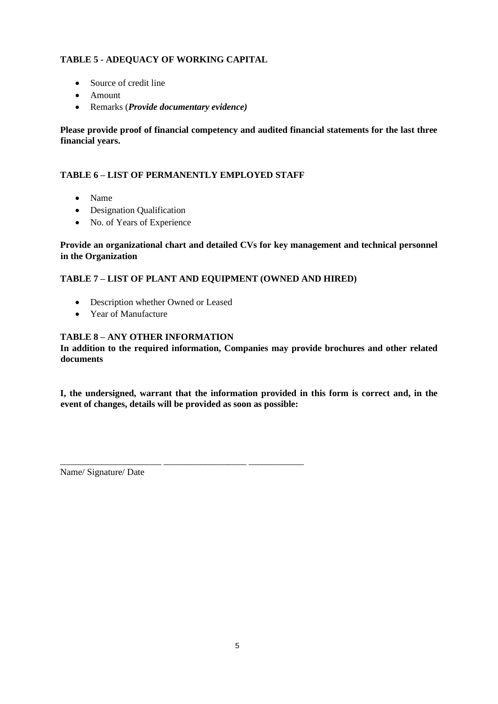# **TABLE 5 - ADEQUACY OF WORKING CAPITAL**

- Source of credit line
- Amount
- Remarks (*Provide documentary evidence)*

**Please provide proof of financial competency and audited financial statements for the last three financial years.**

## **TABLE 6 – LIST OF PERMANENTLY EMPLOYED STAFF**

\_\_\_\_\_\_\_\_\_\_\_\_\_\_\_\_\_\_\_\_\_\_ \_\_\_\_\_\_\_\_\_\_\_\_\_\_\_\_\_\_ \_\_\_\_\_\_\_\_\_\_\_\_

- Name
- Designation Qualification
- No. of Years of Experience

## **Provide an organizational chart and detailed CVs for key management and technical personnel in the Organization**

## **TABLE 7 – LIST OF PLANT AND EQUIPMENT (OWNED AND HIRED)**

- Description whether Owned or Leased
- Year of Manufacture

# **TABLE 8 – ANY OTHER INFORMATION**

**In addition to the required information, Companies may provide brochures and other related documents**

**I, the undersigned, warrant that the information provided in this form is correct and, in the event of changes, details will be provided as soon as possible:**

Name/ Signature/ Date